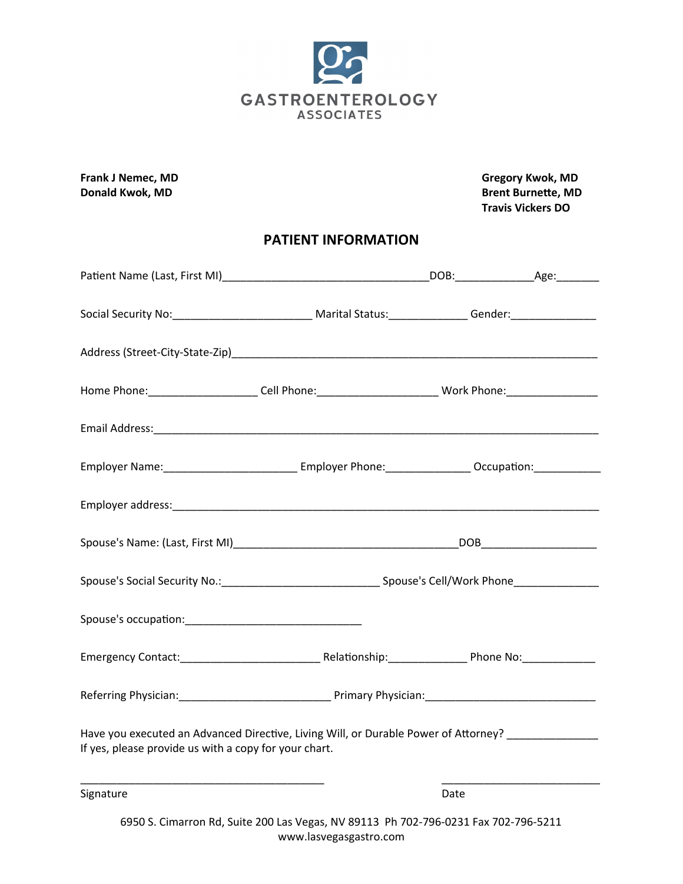

**Frank J Nemec, MD Gregory Kwok, MD Donald Kwok, MD Brent Burnette, MD Travis Vickers DO**

### **PATIENT INFORMATION**

| Social Security No: ________________________________ Marital Status: _______________Gender: __________________                                               |                                                                                     |      |  |
|--------------------------------------------------------------------------------------------------------------------------------------------------------------|-------------------------------------------------------------------------------------|------|--|
|                                                                                                                                                              |                                                                                     |      |  |
| Home Phone:________________________Cell Phone:_______________________________Work Phone:______________________                                               |                                                                                     |      |  |
|                                                                                                                                                              |                                                                                     |      |  |
| Employer Name:_________________________________ Employer Phone:________________Occupation:_______________                                                    |                                                                                     |      |  |
|                                                                                                                                                              |                                                                                     |      |  |
|                                                                                                                                                              |                                                                                     |      |  |
|                                                                                                                                                              |                                                                                     |      |  |
|                                                                                                                                                              |                                                                                     |      |  |
|                                                                                                                                                              |                                                                                     |      |  |
|                                                                                                                                                              |                                                                                     |      |  |
| Have you executed an Advanced Directive, Living Will, or Durable Power of Attorney? _______________<br>If yes, please provide us with a copy for your chart. |                                                                                     |      |  |
| <u> 1989 - Johann John Stone, mars eta biztanleria (</u><br>Signature                                                                                        |                                                                                     | Date |  |
|                                                                                                                                                              | 6950 S. Cimarron Rd, Suite 200 Las Vegas, NV 89113 Ph 702-796-0231 Fax 702-796-5211 |      |  |

www.lasvegasgastro.com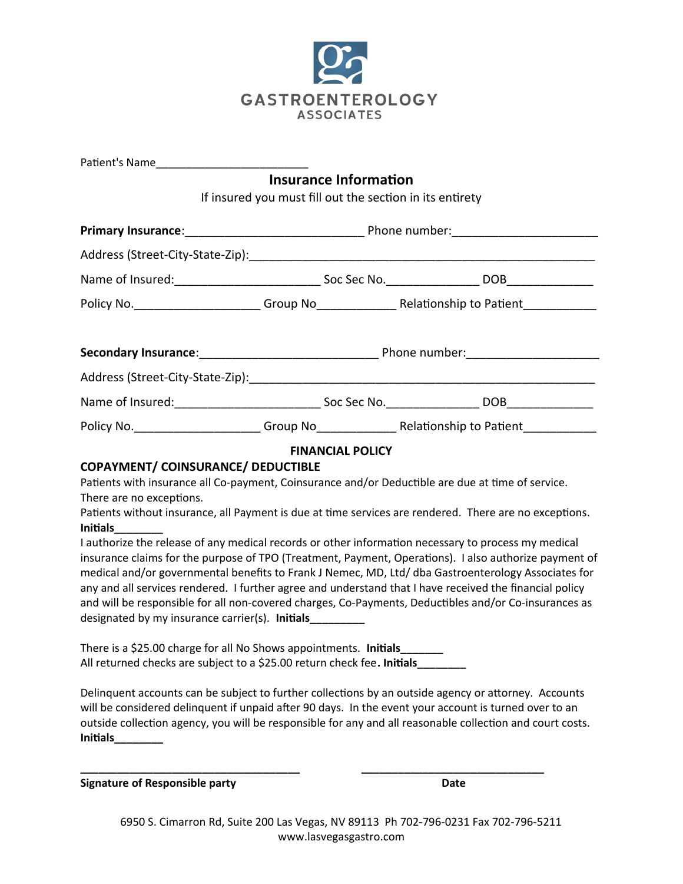

| <b>Insurance Information</b><br>If insured you must fill out the section in its entirety                                                                                                                       |                         |  |  |  |  |  |
|----------------------------------------------------------------------------------------------------------------------------------------------------------------------------------------------------------------|-------------------------|--|--|--|--|--|
|                                                                                                                                                                                                                |                         |  |  |  |  |  |
|                                                                                                                                                                                                                |                         |  |  |  |  |  |
|                                                                                                                                                                                                                |                         |  |  |  |  |  |
|                                                                                                                                                                                                                |                         |  |  |  |  |  |
|                                                                                                                                                                                                                |                         |  |  |  |  |  |
|                                                                                                                                                                                                                |                         |  |  |  |  |  |
|                                                                                                                                                                                                                |                         |  |  |  |  |  |
|                                                                                                                                                                                                                |                         |  |  |  |  |  |
|                                                                                                                                                                                                                |                         |  |  |  |  |  |
|                                                                                                                                                                                                                | <b>FINANCIAL POLICY</b> |  |  |  |  |  |
| <b>COPAYMENT/ COINSURANCE/ DEDUCTIBLE</b>                                                                                                                                                                      |                         |  |  |  |  |  |
| Patients with insurance all Co-payment, Coinsurance and/or Deductible are due at time of service.<br>There are no exceptions.                                                                                  |                         |  |  |  |  |  |
| Patients without insurance, all Payment is due at time services are rendered. There are no exceptions.                                                                                                         |                         |  |  |  |  |  |
| <b>Initials</b>                                                                                                                                                                                                |                         |  |  |  |  |  |
| I authorize the release of any medical records or other information necessary to process my medical<br>insurance claims for the purpose of TPO (Treatment, Payment, Operations). I also authorize payment of   |                         |  |  |  |  |  |
|                                                                                                                                                                                                                |                         |  |  |  |  |  |
| medical and/or governmental benefits to Frank J Nemec, MD, Ltd/ dba Gastroenterology Associates for<br>any and all services rendered. I further agree and understand that I have received the financial policy |                         |  |  |  |  |  |
| and will be responsible for all non-covered charges, Co-Payments, Deductibles and/or Co-insurances as                                                                                                          |                         |  |  |  |  |  |
| designated by my insurance carrier(s). Initials_________                                                                                                                                                       |                         |  |  |  |  |  |
| There is a \$25.00 charge for all No Shows appointments. Initials_______                                                                                                                                       |                         |  |  |  |  |  |
| All returned checks are subject to a \$25.00 return check fee. Initials________                                                                                                                                |                         |  |  |  |  |  |
| Delinquent accounts can be subject to further collections by an outside agency or attorney. Accounts                                                                                                           |                         |  |  |  |  |  |
| will be considered delinquent if unpaid after 90 days. In the event your account is turned over to an                                                                                                          |                         |  |  |  |  |  |
| outside collection agency, you will be responsible for any and all reasonable collection and court costs.                                                                                                      |                         |  |  |  |  |  |

**\_\_\_\_\_\_\_\_\_\_\_\_\_\_\_\_\_\_\_\_\_\_\_\_\_\_\_\_\_\_\_\_\_\_\_\_ \_\_\_\_\_\_\_\_\_\_\_\_\_\_\_\_\_\_\_\_\_\_\_\_\_\_\_\_\_\_**

**Initials\_\_\_\_\_\_\_\_**

**Signature of Responsible party Date**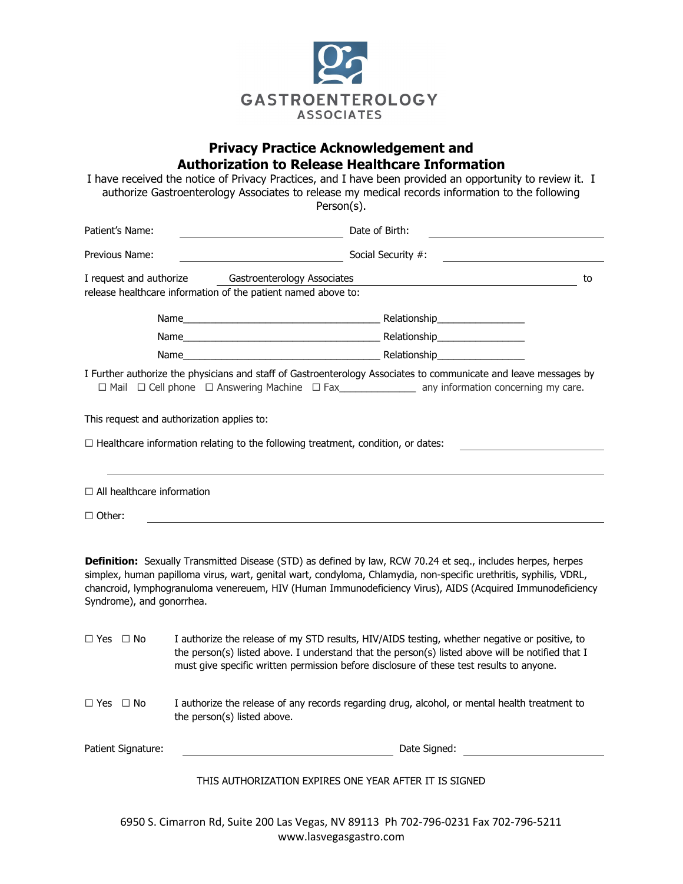

#### **Privacy Practice Acknowledgement and Authorization to Release Healthcare Information**

|                                                    | I have received the notice of Privacy Practices, and I have been provided an opportunity to review it. I<br>authorize Gastroenterology Associates to release my medical records information to the following<br>Person(s).                                                                                                                      |
|----------------------------------------------------|-------------------------------------------------------------------------------------------------------------------------------------------------------------------------------------------------------------------------------------------------------------------------------------------------------------------------------------------------|
| Patient's Name:                                    | Date of Birth:<br>the control of the control of the control of                                                                                                                                                                                                                                                                                  |
| Previous Name:                                     | Social Security #:                                                                                                                                                                                                                                                                                                                              |
|                                                    | I request and authorize Gastroenterology Associates<br>to<br>release healthcare information of the patient named above to:                                                                                                                                                                                                                      |
|                                                    |                                                                                                                                                                                                                                                                                                                                                 |
|                                                    |                                                                                                                                                                                                                                                                                                                                                 |
|                                                    |                                                                                                                                                                                                                                                                                                                                                 |
|                                                    | I Further authorize the physicians and staff of Gastroenterology Associates to communicate and leave messages by<br>$\Box$ Mail $\Box$ Cell phone $\Box$ Answering Machine $\Box$ Fax________________________ any information concerning my care.                                                                                               |
|                                                    | This request and authorization applies to:                                                                                                                                                                                                                                                                                                      |
|                                                    | $\Box$ Healthcare information relating to the following treatment, condition, or dates:                                                                                                                                                                                                                                                         |
| $\Box$ All healthcare information<br>$\Box$ Other: |                                                                                                                                                                                                                                                                                                                                                 |
| Syndrome), and gonorrhea.                          | Definition: Sexually Transmitted Disease (STD) as defined by law, RCW 70.24 et seq., includes herpes, herpes<br>simplex, human papilloma virus, wart, genital wart, condyloma, Chlamydia, non-specific urethritis, syphilis, VDRL,<br>chancroid, lymphogranuloma venereuem, HIV (Human Immunodeficiency Virus), AIDS (Acquired Immunodeficiency |
| $\Box$ Yes $\Box$ No                               | I authorize the release of my STD results, HIV/AIDS testing, whether negative or positive, to<br>the person(s) listed above. I understand that the person(s) listed above will be notified that I<br>must give specific written permission before disclosure of these test results to anyone.                                                   |
| $\Box$ Yes $\Box$ No                               | I authorize the release of any records regarding drug, alcohol, or mental health treatment to<br>the person(s) listed above.                                                                                                                                                                                                                    |
| Patient Signature:                                 | <u> 1980 - Johann Barbara, martxa alemaniar a</u>                                                                                                                                                                                                                                                                                               |
|                                                    |                                                                                                                                                                                                                                                                                                                                                 |

THIS AUTHORIZATION EXPIRES ONE YEAR AFTER IT IS SIGNED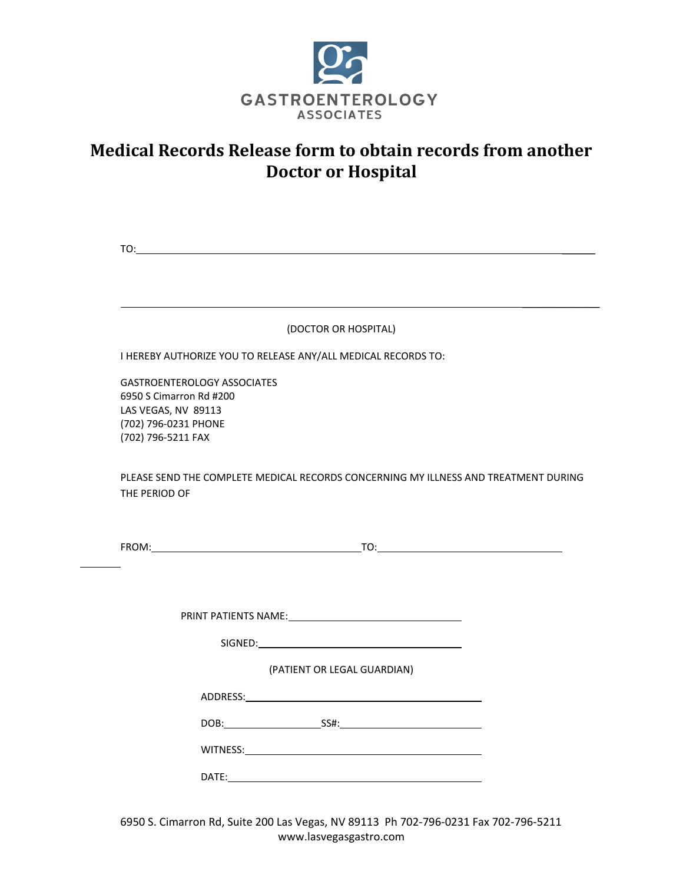

# **Medical Records Release form to obtain records from another Doctor or Hospital**

|                                                                                                                                    | (DOCTOR OR HOSPITAL)                                                                |
|------------------------------------------------------------------------------------------------------------------------------------|-------------------------------------------------------------------------------------|
|                                                                                                                                    | I HEREBY AUTHORIZE YOU TO RELEASE ANY/ALL MEDICAL RECORDS TO:                       |
| <b>GASTROENTEROLOGY ASSOCIATES</b><br>6950 S Cimarron Rd #200<br>LAS VEGAS, NV 89113<br>(702) 796-0231 PHONE<br>(702) 796-5211 FAX |                                                                                     |
| THE PERIOD OF                                                                                                                      | PLEASE SEND THE COMPLETE MEDICAL RECORDS CONCERNING MY ILLNESS AND TREATMENT DURING |
|                                                                                                                                    |                                                                                     |
|                                                                                                                                    |                                                                                     |
|                                                                                                                                    | <b>PRINT PATIENTS NAME: EXAMPLE 2020 PRINT PATIENTS NAME:</b>                       |
|                                                                                                                                    | (PATIENT OR LEGAL GUARDIAN)                                                         |
|                                                                                                                                    |                                                                                     |
|                                                                                                                                    |                                                                                     |
|                                                                                                                                    |                                                                                     |

 $\overline{a}$